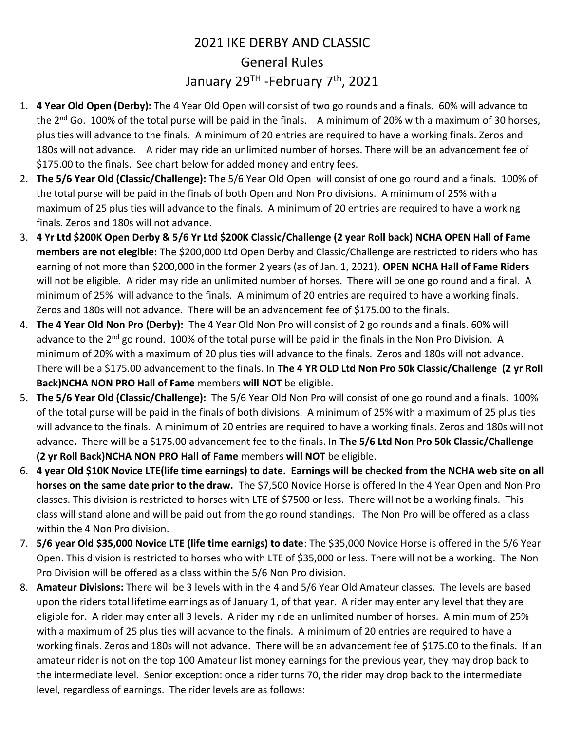## 2021 IKE DERBY AND CLASSIC General Rules January 29<sup>TH</sup> -February 7<sup>th</sup>, 2021

- 1. 4 Year Old Open (Derby): The 4 Year Old Open will consist of two go rounds and a finals. 60% will advance to the  $2^{nd}$  Go. 100% of the total purse will be paid in the finals. A minimum of 20% with a maximum of 30 horses, plus ties will advance to the finals. A minimum of 20 entries are required to have a working finals. Zeros and 180s will not advance. A rider may ride an unlimited number of horses. There will be an advancement fee of \$175.00 to the finals. See chart below for added money and entry fees.
- 2. The 5/6 Year Old (Classic/Challenge): The 5/6 Year Old Open will consist of one go round and a finals. 100% of the total purse will be paid in the finals of both Open and Non Pro divisions. A minimum of 25% with a maximum of 25 plus ties will advance to the finals. A minimum of 20 entries are required to have a working finals. Zeros and 180s will not advance.
- 3. 4 Yr Ltd \$200K Open Derby & 5/6 Yr Ltd \$200K Classic/Challenge (2 year Roll back) NCHA OPEN Hall of Fame members are not elegible: The \$200,000 Ltd Open Derby and Classic/Challenge are restricted to riders who has earning of not more than \$200,000 in the former 2 years (as of Jan. 1, 2021). OPEN NCHA Hall of Fame Riders will not be eligible. A rider may ride an unlimited number of horses. There will be one go round and a final. A minimum of 25% will advance to the finals. A minimum of 20 entries are required to have a working finals. Zeros and 180s will not advance. There will be an advancement fee of \$175.00 to the finals.
- 4. The 4 Year Old Non Pro (Derby): The 4 Year Old Non Pro will consist of 2 go rounds and a finals. 60% will advance to the 2<sup>nd</sup> go round. 100% of the total purse will be paid in the finals in the Non Pro Division. A minimum of 20% with a maximum of 20 plus ties will advance to the finals. Zeros and 180s will not advance. There will be a \$175.00 advancement to the finals. In The 4 YR OLD Ltd Non Pro 50k Classic/Challenge (2 yr Roll Back)NCHA NON PRO Hall of Fame members will NOT be eligible.
- 5. The 5/6 Year Old (Classic/Challenge): The 5/6 Year Old Non Pro will consist of one go round and a finals. 100% of the total purse will be paid in the finals of both divisions. A minimum of 25% with a maximum of 25 plus ties will advance to the finals. A minimum of 20 entries are required to have a working finals. Zeros and 180s will not advance. There will be a \$175.00 advancement fee to the finals. In The 5/6 Ltd Non Pro 50k Classic/Challenge (2 yr Roll Back)NCHA NON PRO Hall of Fame members will NOT be eligible.
- 6. 4 year Old \$10K Novice LTE(life time earnings) to date. Earnings will be checked from the NCHA web site on all horses on the same date prior to the draw. The \$7,500 Novice Horse is offered In the 4 Year Open and Non Pro classes. This division is restricted to horses with LTE of \$7500 or less. There will not be a working finals. This class will stand alone and will be paid out from the go round standings. The Non Pro will be offered as a class within the 4 Non Pro division.
- 7. 5/6 year Old \$35,000 Novice LTE (life time earnigs) to date: The \$35,000 Novice Horse is offered in the 5/6 Year Open. This division is restricted to horses who with LTE of \$35,000 or less. There will not be a working. The Non Pro Division will be offered as a class within the 5/6 Non Pro division.
- 8. Amateur Divisions: There will be 3 levels with in the 4 and 5/6 Year Old Amateur classes. The levels are based upon the riders total lifetime earnings as of January 1, of that year. A rider may enter any level that they are eligible for. A rider may enter all 3 levels. A rider my ride an unlimited number of horses. A minimum of 25% with a maximum of 25 plus ties will advance to the finals. A minimum of 20 entries are required to have a working finals. Zeros and 180s will not advance. There will be an advancement fee of \$175.00 to the finals. If an amateur rider is not on the top 100 Amateur list money earnings for the previous year, they may drop back to the intermediate level. Senior exception: once a rider turns 70, the rider may drop back to the intermediate level, regardless of earnings. The rider levels are as follows: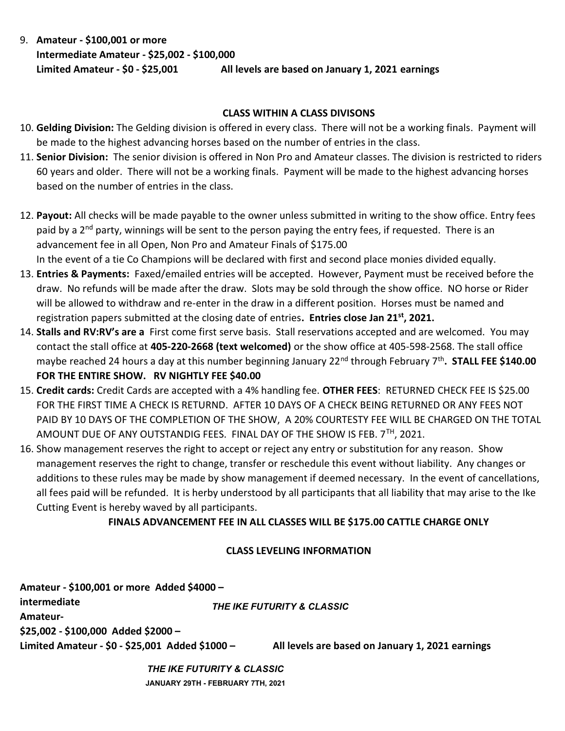9. Amateur - \$100,001 or more Intermediate Amateur - \$25,002 - \$100,000 Limited Amateur - \$0 - \$25,001 All levels are based on January 1, 2021 earnings

## CLASS WITHIN A CLASS DIVISONS

- 10. Gelding Division: The Gelding division is offered in every class. There will not be a working finals. Payment will be made to the highest advancing horses based on the number of entries in the class.
- 11. Senior Division: The senior division is offered in Non Pro and Amateur classes. The division is restricted to riders 60 years and older. There will not be a working finals. Payment will be made to the highest advancing horses based on the number of entries in the class.
- 12. Payout: All checks will be made payable to the owner unless submitted in writing to the show office. Entry fees paid by a 2<sup>nd</sup> party, winnings will be sent to the person paying the entry fees, if requested. There is an advancement fee in all Open, Non Pro and Amateur Finals of \$175.00 In the event of a tie Co Champions will be declared with first and second place monies divided equally.
- 13. Entries & Payments: Faxed/emailed entries will be accepted. However, Payment must be received before the draw. No refunds will be made after the draw. Slots may be sold through the show office. NO horse or Rider will be allowed to withdraw and re-enter in the draw in a different position. Horses must be named and registration papers submitted at the closing date of entries. Entries close Jan 21<sup>st</sup>, 2021.
- 14. Stalls and RV:RV's are a First come first serve basis. Stall reservations accepted and are welcomed. You may contact the stall office at 405-220-2668 (text welcomed) or the show office at 405-598-2568. The stall office maybe reached 24 hours a day at this number beginning January 22<sup>nd</sup> through February 7<sup>th</sup>. STALL FEE \$140.00 FOR THE ENTIRE SHOW. RV NIGHTLY FEE \$40.00
- 15. Credit cards: Credit Cards are accepted with a 4% handling fee. OTHER FEES: RETURNED CHECK FEE IS \$25.00 FOR THE FIRST TIME A CHECK IS RETURND. AFTER 10 DAYS OF A CHECK BEING RETURNED OR ANY FEES NOT PAID BY 10 DAYS OF THE COMPLETION OF THE SHOW, A 20% COURTESTY FEE WILL BE CHARGED ON THE TOTAL AMOUNT DUE OF ANY OUTSTANDIG FEES. FINAL DAY OF THE SHOW IS FEB. 7TH, 2021.
- 16. Show management reserves the right to accept or reject any entry or substitution for any reason. Show management reserves the right to change, transfer or reschedule this event without liability. Any changes or additions to these rules may be made by show management if deemed necessary. In the event of cancellations, all fees paid will be refunded. It is herby understood by all participants that all liability that may arise to the Ike Cutting Event is hereby waved by all participants.

## FINALS ADVANCEMENT FEE IN ALL CLASSES WILL BE \$175.00 CATTLE CHARGE ONLY

## CLASS LEVELING INFORMATION

| Amateur - \$100,001 or more Added \$4000 -      |                            |                                                  |  |  |  |  |
|-------------------------------------------------|----------------------------|--------------------------------------------------|--|--|--|--|
| intermediate                                    | THE IKE FUTURITY & CLASSIC |                                                  |  |  |  |  |
| Amateur-                                        |                            |                                                  |  |  |  |  |
| \$25,002 - \$100,000 Added \$2000 -             |                            |                                                  |  |  |  |  |
| Limited Amateur - \$0 - \$25,001 Added \$1000 - |                            | All levels are based on January 1, 2021 earnings |  |  |  |  |
|                                                 | THE IKE FUTURITY & CLASSIC |                                                  |  |  |  |  |

JANUARY 29TH - FEBRUARY 7TH, 2021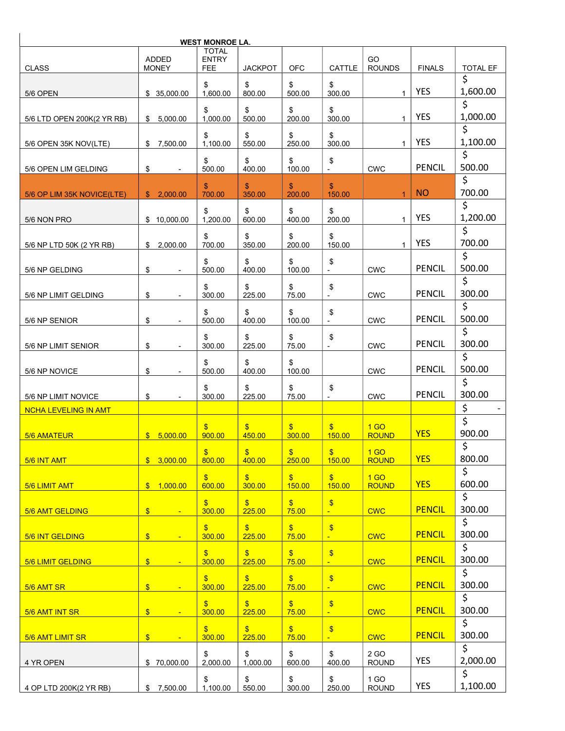| <b>WEST MONROE LA.</b>                             |                                 |                                            |                           |                                     |                                           |                                 |               |                 |  |
|----------------------------------------------------|---------------------------------|--------------------------------------------|---------------------------|-------------------------------------|-------------------------------------------|---------------------------------|---------------|-----------------|--|
| <b>CLASS</b>                                       | <b>ADDED</b><br><b>MONEY</b>    | <b>TOTAL</b><br><b>ENTRY</b><br><b>FEE</b> | <b>JACKPOT</b>            | <b>OFC</b>                          | <b>CATTLE</b>                             | GO<br><b>ROUNDS</b>             | <b>FINALS</b> | <b>TOTAL EF</b> |  |
| 5/6 OPEN                                           | \$35,000.00                     | \$<br>1,600.00                             | \$<br>800.00              | \$<br>500.00                        | \$<br>300.00                              | $\mathbf{1}$                    | <b>YES</b>    | \$<br>1,600.00  |  |
| 5/6 LTD OPEN 200K(2 YR RB)                         | \$<br>5,000.00                  | \$<br>1,000.00                             | \$<br>500.00              | \$<br>200.00                        | \$<br>300.00                              | $\mathbf{1}$                    | <b>YES</b>    | Ś<br>1,000.00   |  |
| 5/6 OPEN 35K NOV(LTE)                              | \$7,500.00                      | \$<br>1,100.00                             | \$<br>550.00              | \$<br>250.00                        | \$<br>300.00                              | $\mathbf{1}$                    | <b>YES</b>    | \$<br>1,100.00  |  |
|                                                    |                                 | \$                                         | \$                        | \$                                  | \$                                        |                                 | <b>PENCIL</b> | Ś<br>500.00     |  |
| 5/6 OPEN LIM GELDING                               | \$                              | 500.00<br>\$                               | 400.00<br>\$              | 100.00<br>\$                        | \$                                        | <b>CWC</b>                      |               | \$              |  |
| 5/6 OP LIM 35K NOVICE(LTE)                         | 2,000.00<br>S.                  | 700.00                                     | 350.00                    | 200.00                              | 150.00                                    | $\mathbf{1}$                    | <b>NO</b>     | 700.00          |  |
| 5/6 NON PRO                                        | 10,000.00<br>\$                 | \$<br>1.200.00                             | \$<br>600.00              | \$<br>400.00                        | \$<br>200.00                              | $\mathbf{1}$                    | <b>YES</b>    | \$<br>1,200.00  |  |
| 5/6 NP LTD 50K (2 YR RB)                           | \$<br>2,000.00                  | \$<br>700.00                               | \$<br>350.00              | \$<br>200.00                        | \$<br>150.00                              | $\mathbf{1}$                    | <b>YES</b>    | \$<br>700.00    |  |
| 5/6 NP GELDING                                     | \$                              | \$<br>500.00                               | \$<br>400.00              | \$<br>100.00                        | \$                                        | <b>CWC</b>                      | <b>PENCIL</b> | \$<br>500.00    |  |
| 5/6 NP LIMIT GELDING                               | \$<br>$\overline{\phantom{a}}$  | \$<br>300.00                               | \$<br>225.00              | \$<br>75.00                         | \$                                        | <b>CWC</b>                      | <b>PENCIL</b> | \$<br>300.00    |  |
| 5/6 NP SENIOR                                      | \$<br>$\blacksquare$            | \$<br>500.00                               | \$<br>400.00              | \$<br>100.00                        | \$<br>$\overline{\phantom{a}}$            | <b>CWC</b>                      | <b>PENCIL</b> | \$<br>500.00    |  |
| 5/6 NP LIMIT SENIOR                                | \$<br>$\overline{\phantom{a}}$  | \$<br>300.00                               | \$<br>225.00              | \$<br>75.00                         | \$                                        | <b>CWC</b>                      | <b>PENCIL</b> | \$<br>300.00    |  |
| 5/6 NP NOVICE                                      | \$<br>$\overline{\phantom{a}}$  | \$<br>500.00                               | \$<br>400.00              | \$<br>100.00                        |                                           | <b>CWC</b>                      | <b>PENCIL</b> | \$<br>500.00    |  |
|                                                    |                                 | \$                                         | \$                        | \$                                  | \$                                        |                                 | <b>PENCIL</b> | \$<br>300.00    |  |
| 5/6 NP LIMIT NOVICE<br><b>NCHA LEVELING IN AMT</b> | \$                              | 300.00                                     | 225.00                    | 75.00                               |                                           | <b>CWC</b>                      |               | \$              |  |
|                                                    |                                 |                                            |                           |                                     |                                           |                                 |               | \$              |  |
| 5/6 AMATEUR                                        | \$5,000.00                      | $\mathbf{s}$<br>900.00                     | $\mathbf{s}$<br>450.00    | $\mathbf{\$}$<br>300.00             | $\mathbf{s}$<br>150.00                    | 1 <sub>GO</sub><br><b>ROUND</b> | <b>YES</b>    | 900.00          |  |
| 5/6 INT AMT                                        | \$3,000.00                      | $\boldsymbol{\mathsf{S}}$<br>800.00        | $\sqrt{3}$<br>400.00      | $\boldsymbol{\mathsf{S}}$<br>250.00 | \$<br>150.00                              | 1 <sub>GO</sub><br><b>ROUND</b> | <b>YES</b>    | \$<br>800.00    |  |
| 5/6 LIMIT AMT                                      | \$ 1,000.00                     | $\mathbf{\$}$<br>600.00                    | $\mathfrak{F}$<br>300.00  | $\mathbf{\$}$<br>150.00             | $\mathbf{\$}$<br>150.00                   | 1 <sub>GO</sub><br><b>ROUND</b> | <b>YES</b>    | \$<br>600.00    |  |
| 5/6 AMT GELDING                                    | $\sqrt[6]{\frac{1}{2}}$         | $\boldsymbol{\mathsf{s}}$<br>300.00        | $\frac{1}{2}$<br>225.00   | $\boldsymbol{\mathsf{S}}$<br>75.00  | $\boldsymbol{\$}$                         | <b>CWC</b>                      | <b>PENCIL</b> | \$<br>300.00    |  |
| 5/6 INT GELDING                                    | $\frac{1}{2}$<br>$\blacksquare$ | $\boldsymbol{\mathsf{S}}$<br>300.00        | $\frac{1}{2}$<br>225.00   | $\sqrt[3]{\frac{1}{2}}$<br>75.00    | $\sqrt[6]{\frac{1}{2}}$<br>$\blacksquare$ | <b>CWC</b>                      | <b>PENCIL</b> | \$<br>300.00    |  |
| 5/6 LIMIT GELDING                                  | $\frac{1}{2}$                   | $\boldsymbol{\mathsf{s}}$<br>300.00        | $\mathbf{\$}$<br>225.00   | $\mathbf{\$}$<br>75.00              | $\sqrt[6]{3}$                             | <b>CWC</b>                      | <b>PENCIL</b> | \$<br>300.00    |  |
|                                                    |                                 | $\mathbf{\hat{s}}$                         | $\boldsymbol{\mathsf{S}}$ | $\mathbf{\$}$                       | $\frac{1}{2}$                             |                                 | <b>PENCIL</b> | \$<br>300.00    |  |
| 5/6 AMT SR                                         | $\frac{1}{2}$<br>$\blacksquare$ | 300.00<br>$\mathbf{\$}$                    | 225.00<br>$\mathfrak{F}$  | 75.00<br>$\mathfrak{F}$             | $\blacksquare$<br>$\boldsymbol{\theta}$   | <b>CWC</b>                      |               | \$              |  |
| 5/6 AMT INT SR                                     | $\frac{1}{2}$<br>÷              | 300.00                                     | 225.00                    | 75.00                               | ÷                                         | <b>CWC</b>                      | <b>PENCIL</b> | 300.00<br>\$    |  |
| 5/6 AMT LIMIT SR                                   | $\mathsf{S}$<br>÷               | $\boldsymbol{\mathsf{S}}$<br>300.00        | $\mathfrak{F}$<br>225.00  | $\mathbf{s}$<br>75.00               | $\boldsymbol{\$}$<br>÷.                   | <b>CWC</b>                      | <b>PENCIL</b> | 300.00<br>\$    |  |
| 4 YR OPEN                                          | \$70,000.00                     | \$<br>2,000.00                             | \$<br>1,000.00            | \$<br>600.00                        | \$<br>400.00                              | 2 GO<br><b>ROUND</b>            | <b>YES</b>    | 2,000.00        |  |
| 4 OP LTD 200K(2 YR RB)                             | 7,500.00<br>\$                  | \$<br>1,100.00                             | \$<br>550.00              | \$<br>300.00                        | \$<br>250.00                              | 1 GO<br><b>ROUND</b>            | YES           | \$<br>1,100.00  |  |